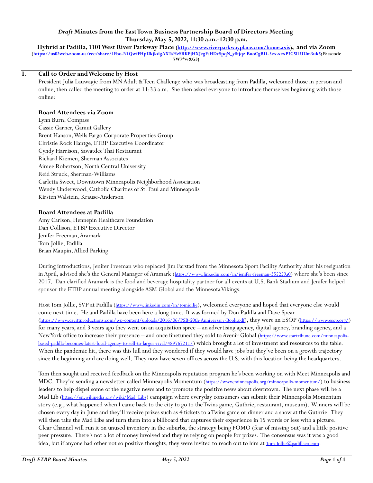# *Draft* **Minutes from the East Town Business Partnership Board of Directors Meeting Thursday, May 5, 2022, 11:30 a.m.-12:30 p.m.**

**Hybrid at Padilla, 1101 West River Parkway Place [\(http://www.riverparkwayplace.com/home.axis\)](http://www.riverparkwayplace.com/home.axis), and via Zoom [\(https://us02web.zoom.us/rec/share/1Fbo-N1QwfFHpUkjkdgAXTsHzSRKPjHXJegFsHDcSpqN\\_y8tjqzlBuoCgBI1-3ex.xcxP3G5I1UUm3uk5;](https://us02web.zoom.us/rec/share/1Fbo-N1QwfFHpUkjkdgAXTsHzSRKPjHXJegFsHDcSpqN_y8tjqzlBuoCgBI1-3ex.xcxP3G5I1UUm3uk5) Passcode 7W7\*w&G3)**

#### **I. Call to Order and Welcome by Host**

President Julia Lauwagie from MN Adult & Teen Challenge who was broadcasting from Padilla, welcomed those in person and online, then called the meeting to order at 11:33 a.m. She then asked everyone to introduce themselves beginning with those online:

#### **Board Attendees via Zoom**

Lynn Burn, Compass Cassie Garner, Gamut Gallery Brent Hanson, Wells Fargo Corporate Properties Group Christie Rock Hantge, ETBP Executive Coordinator Cyndy Harrison, Sawatdee Thai Restaurant Richard Kiemen, Sherman Associates Aimee Robertson, North Central University Reid Struck, Sherman-Williams Carletta Sweet, Downtown Minneapolis Neighborhood Association Wendy Underwood, Catholic Charities of St. Paul and Minneapolis Kirsten Walstein, Krause-Anderson

### **Board Attendees at Padilla**

Amy Carlson, Hennepin Healthcare Foundation Dan Collison, ETBP Executive Director Jenifer Freeman, Aramark Tom Jollie, Padilla Brian Maupin, Allied Parking

During introductions, Jenifer Freeman who replaced Jim Farstad from the Minnesota Sport Facility Authority after his resignation in April, advised she's the General Manager of Aramark (<https://www.linkedin.com/in/jenifer-freeman-355259a0>) where she's been since 2017. Dan clarified Aramark is the food and beverage hospitality partner for all events at U.S. Bank Stadium and Jenifer helped sponsor the ETBP annual meeting alongside ASM Global and the Minnesota Vikings.

Host Tom Jollie, SVP at Padilla (<https://www.linkedin.com/in/tomjollie>), welcomed everyone and hoped that everyone else would come next time. He and Padilla have been here a long time. It was formed by Don Padilla and Dave Spear (<https://www.cavittproductions.com/wp-content/uploads/2016/06/PSB-50th-Anniversary-Book.pdf>), they were an ESOP (<https://www.esop.org/>) for many years, and 3 years ago they went on an acquisition spree – an advertising agency, digital agency, branding agency, and a New York office to increase their presence – and once finetuned they sold to Avenir Global ([https://www.startribune.com/minneapolis](https://www.startribune.com/minneapolis-based-padilla-becomes-latest-local-agency-to-sell-to-larger-rival/489767211/)[based-padilla-becomes-latest-local-agency-to-sell-to-larger-rival/489767211/](https://www.startribune.com/minneapolis-based-padilla-becomes-latest-local-agency-to-sell-to-larger-rival/489767211/)) which brought a lot of investment and resources to the table. When the pandemic hit, there was this lull and they wondered if they would have jobs but they've been on a growth trajectory since the beginning and are doing well. They now have seven offices across the U.S. with this location being the headquarters.

Tom then sought and received feedback on the Minneapolis reputation program he's been working on with Meet Minneapolis and MDC. They're sending a newsletter called Minneapolis Momentum (<https://www.minneapolis.org/minneapolis-momentum/>) to business leaders to help dispel some of the negative news and to promote the positive news about downtown. The next phase will be a Mad Lib ([https://en.wikipedia.org/wiki/Mad\\_Libs](https://en.wikipedia.org/wiki/Mad_Libs)) campaign where everyday consumers can submit their Minneapolis Momentum story (e.g., what happened when I came back to the city to go to the Twins game, Guthrie, restaurant, museum). Winners will be chosen every day in June and they'll receive prizes such as 4 tickets to aTwins game or dinner and a show at the Guthrie. They will then take the Mad Libs and turn them into a billboard that captures their experience in 15 words or less with a picture. Clear Channel will run it on unused inventory in the suburbs, the strategy being FOMO (fear of missing out) and a little positive peer pressure. There's not a lot of money involved and they're relying on people for prizes. The consensus was it was a good idea, but if anyone had other not so positive thoughts, they were invited to reach out to him at [Tom.Jollie@padillaco.com](mailto:Tom.Jollie@padillaco.com).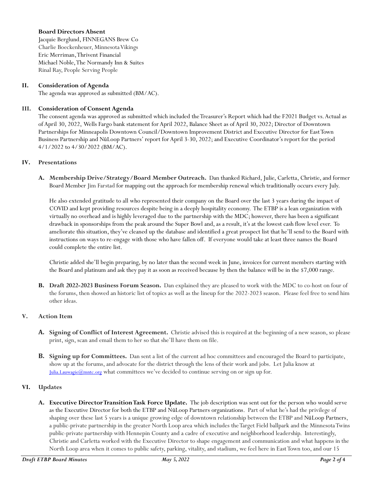### **Board Directors Absent**

Jacquie Berglund, FINNEGANS Brew Co Charlie Boeckenheuer, Minnesota Vikings Eric Merriman, Thrivent Financial Michael Noble, The Normandy Inn & Suites Rinal Ray, People Serving People

# **II. Consideration of Agenda**

The agenda was approved as submitted (BM/AC).

### **III. Consideration of Consent Agenda**

The consent agenda was approved as submitted which included the Treasurer's Report which had the F2021 Budget vs. Actual as of April 30, 2022, Wells Fargo bank statement for April 2022, Balance Sheet as of April 30, 2022; Director of Downtown Partnerships for Minneapolis Downtown Council/Downtown Improvement District and Executive Director for East Town Business Partnership and Nū Loop Partners' report for April 3-30, 2022; and Executive Coordinator's report for the period 4/1/2022 to 4/30/2022 (BM/AC).

### **IV. Presentations**

**A. Membership Drive/Strategy/Board Member Outreach.** Dan thanked Richard, Julie, Carletta, Christie, and former Board Member Jim Farstad for mapping out the approach for membership renewal which traditionally occurs every July.

He also extended gratitude to all who represented their company on the Board over the last 3 years during the impact of COVID and kept providing resources despite being in a deeply hospitality economy. The ETBP is a lean organization with virtually no overhead and is highly leveraged due to the partnership with the MDC; however, there has been a significant drawback in sponsorships from the peak around the Super Bowl and, as a result, it's at the lowest cash flow level ever. To ameliorate this situation, they've cleaned up the database and identified a great prospect list that he'll send to the Board with instructions on ways to re-engage with those who have fallen off. If everyone would take at least three names the Board could complete the entire list.

Christie added she'll begin preparing, by no later than the second week in June, invoices for current members starting with the Board and platinum and ask they pay it as soon as received because by then the balance will be in the \$7,000 range.

**B. Draft 2022-2023 Business Forum Season.** Dan explained they are pleased to work with the MDC to co-host on four of the forums, then showed an historic list of topics as well as the lineup for the 2022-2023 season. Please feel free to send him other ideas.

# **V. Action Item**

- **A. Signing of Conflict of Interest Agreement.** Christie advised this is required at the beginning of a new season, so please print, sign, scan and email them to her so that she'll have them on file.
- **B. Signing up for Committees.** Dan sent a list of the current ad hoc committees and encouraged the Board to participate, show up at the forums, and advocate for the district through the lens of their work and jobs. Let Julia know at Julia. Lauwagie@mntc.org what committees we've decided to continue serving on or sign up for.

# **VI. Updates**

**A. Executive Director Transition Task Force Update.** The job description was sent out for the person who would serve as the Executive Director for both the ETBP and Nū Loop Partners organizations. Part of what he's had the privilege of shaping over these last 5 years is a unique growing edge of downtown relationship between the ETBP and Nū Loop Partners, a public-private partnership in the greater North Loop area which includes the Target Field ballpark and the Minnesota Twins public-private partnership with Hennepin County and a cadre of executive and neighborhood leadership. Interestingly, Christie and Carletta worked with the Executive Director to shape engagement and communication and what happens in the North Loop area when it comes to public safety, parking, vitality, and stadium, we feel here in East Town too, and our 15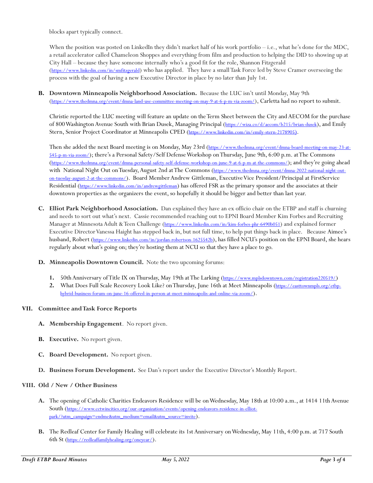blocks apart typically connect.

When the position was posted on LinkedIn they didn't market half of his work portfolio – i.e., what he's done for the MDC, a retail accelerator called Chameleon Shoppes and everything from film and production to helping the DID to showing up at City Hall – because they have someone internally who's a good fit for the role, Shannon Fitzgerald (<https://www.linkedin.com/in/smfitzgerald>) who has applied. They have a small Task Force led by Steve Cramer overseeing the process with the goal of having a new Executive Director in place by no later than July 1st.

**B. Downtown Minneapolis Neighborhood Association.** Because the LUC isn't until Monday, May 9th (<https://www.thedmna.org/event/dmna-land-use-committee-meeting-on-may-9-at-6-p-m-via-zoom/>), Carletta had no report to submit.

Christie reported the LUC meeting will feature an update on the Term Sheet between the City and AECOM for the purchase of 800 Washington Avenue South with Brian Dusek, Managing Principal (<https://wiza.co/d/aecom/b215/brian-dusek>), and Emily Stern, Senior Project Coordinator at Minneapolis CPED ([https://www.linkedin.com/in/emily-stern-2178905](https://www.linkedin.com/in/emily-stern-2178905))[\).](https://www.linkedin.com/in/emily-stern-2178905))

Then she added the next Board meeting is on Monday, May 23rd ([https://www.thedmna.org/event/dmna-board-meeting-on-may-23-at-](https://www.thedmna.org/event/dmna-board-meeting-on-may-23-at-545-p-m-via-zoom/)[545-p-m-via-zoom/](https://www.thedmna.org/event/dmna-board-meeting-on-may-23-at-545-p-m-via-zoom/)); there's a Personal Safety/Self Defense Workshop on Thursday, June 9th, 6:00 p.m. at The Commons (<https://www.thedmna.org/event/dmna-personal-safety-self-defense-workshop-on-june-9-at-6-p-m-at-the-commons/>); and they're going ahead with National Night Out on Tuesday, August 2nd at The Commons ([https://www.thedmna.org/event/dmna-2022-national-night-out](https://www.thedmna.org/event/dmna-2022-national-night-out-on-tuesday-august-2-at-the-commons/)[on-tuesday-august-2-at-the-commons/](https://www.thedmna.org/event/dmna-2022-national-night-out-on-tuesday-august-2-at-the-commons/)). Board Member Andrew Gittleman, Executive Vice President/Principal at FirstService Residential (<https://www.linkedin.com/in/andrewgittleman>) has offered FSR as the primary sponsor and the associates at their downtown properties as the organizers the event, so hopefully it should be bigger and better than last year.

- **C. Elliot Park Neighborhood Association.** Dan explained they have an ex officio chair on the ETBP and staff is churning and needs to sort out what's next. Cassie recommended reaching out to EPNI Board Member Kim Forbes and Recruiting Manager at Minnesota Adult & Teen Challenge (<https://www.linkedin.com/in/kim-forbes-phr-6490b051>) and explained former Executive Director Vanessa Haight has stepped back in, but not full time, to help put things back in place. Because Aimee's husband, Robert (<https://www.linkedin.com/in/jordan-robertson-1625542b>), has filled NCU's position on the EPNI Board, she hears regularly about what's going on; they're hosting them at NCU so that they have a place to go.
- **D. Minneapolis Downtown Council.** Note the two upcoming forums:
	- 1. 50th Anniversary of Title IX on Thursday, May 19th at The Larking (<https://www.mplsdowntown.com/registration220519/>)
	- **2.** What Does Full Scale Recovery Look Like? on Thursday, June 16th at Meet Minneapolis ([https://easttownmpls.org/etbp](https://easttownmpls.org/etbp-hybrid-business-forum-on-june-16-offered-in-person-at-meet-minneapolis-and-online-via-zoom/)[hybrid-business-forum-on-june-16-offered-in-person-at-meet-minneapolis-and-online-via-zoom/](https://easttownmpls.org/etbp-hybrid-business-forum-on-june-16-offered-in-person-at-meet-minneapolis-and-online-via-zoom/)).

# **VII. Committee and Task Force Reports**

- **A. Membership Engagement**. No report given.
- **B. Executive.** No report given.
- **C. Board Development.** No report given.
- **D. Business Forum Development.** See Dan's report under the Executive Director's Monthly Report.

#### **VIII. Old / New / Other Business**

- **A.** The opening of Catholic Charities Endeavors Residence will be onWednesday, May 18th at 10:00 a.m., at 1414 11th Avenue South ([https://www.cctwincities.org/our-organization/events/opening-endeavors-residence-in-elliot](https://www.cctwincities.org/our-organization/events/opening-endeavors-residence-in-elliot-park/?utm_campaign=endme&utm_medium=email&utm_source=invite)[park/?utm\\_campaign=endme&utm\\_medium=email&utm\\_source=invite](https://www.cctwincities.org/our-organization/events/opening-endeavors-residence-in-elliot-park/?utm_campaign=endme&utm_medium=email&utm_source=invite)).
- **B.** The Redleaf Center for Family Healing will celebrate its 1st Anniversary on Wednesday, May 11th, 4:00 p.m. at 717 South 6th St (<https://redleaffamilyhealing.org/oneyear/>).